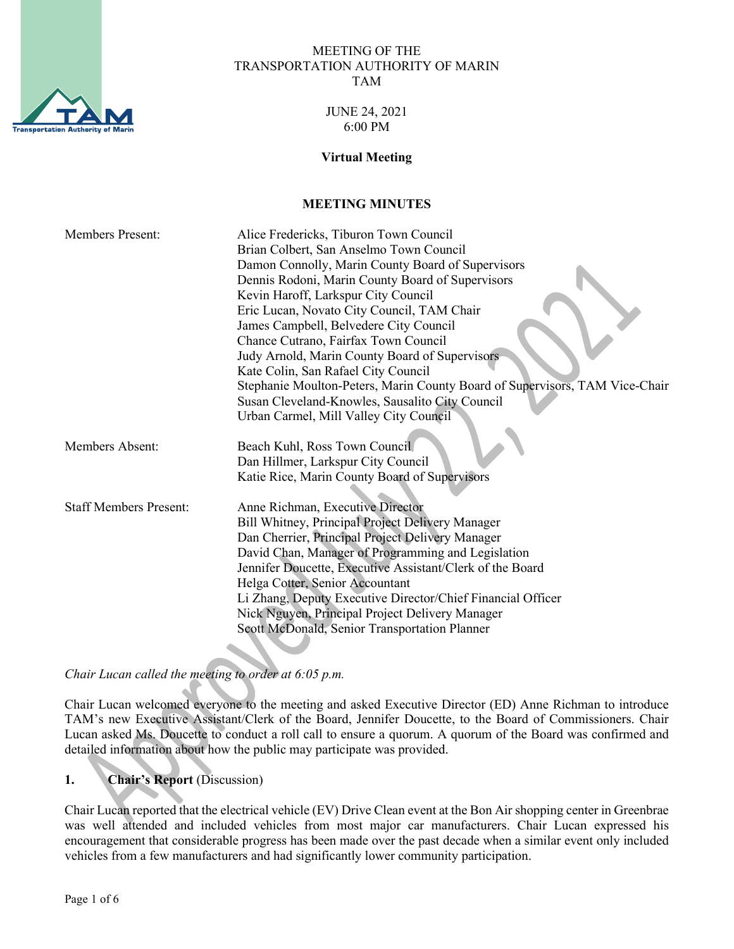

#### MEETING OF THE TRANSPORTATION AUTHORITY OF MARIN TAM

#### JUNE 24, 2021 6:00 PM

#### **Virtual Meeting**

## **MEETING MINUTES**

| <b>Members Present:</b>       | Alice Fredericks, Tiburon Town Council                                      |
|-------------------------------|-----------------------------------------------------------------------------|
|                               | Brian Colbert, San Anselmo Town Council                                     |
|                               | Damon Connolly, Marin County Board of Supervisors                           |
|                               | Dennis Rodoni, Marin County Board of Supervisors                            |
|                               | Kevin Haroff, Larkspur City Council                                         |
|                               | Eric Lucan, Novato City Council, TAM Chair                                  |
|                               | James Campbell, Belvedere City Council                                      |
|                               | Chance Cutrano, Fairfax Town Council                                        |
|                               | Judy Arnold, Marin County Board of Supervisors                              |
|                               | Kate Colin, San Rafael City Council                                         |
|                               | Stephanie Moulton-Peters, Marin County Board of Supervisors, TAM Vice-Chair |
|                               | Susan Cleveland-Knowles, Sausalito City Council                             |
|                               | Urban Carmel, Mill Valley City Council                                      |
| Members Absent:               | Beach Kuhl, Ross Town Council                                               |
|                               | Dan Hillmer, Larkspur City Council                                          |
|                               | Katie Rice, Marin County Board of Supervisors                               |
|                               |                                                                             |
| <b>Staff Members Present:</b> | Anne Richman, Executive Director                                            |
|                               | Bill Whitney, Principal Project Delivery Manager                            |
|                               | Dan Cherrier, Principal Project Delivery Manager                            |
|                               | David Chan, Manager of Programming and Legislation                          |
|                               | Jennifer Doucette, Executive Assistant/Clerk of the Board                   |
|                               | Helga Cotter, Senior Accountant                                             |
|                               | Li Zhang, Deputy Executive Director/Chief Financial Officer                 |
|                               | Nick Nguyen, Principal Project Delivery Manager                             |
|                               | Scott McDonald, Senior Transportation Planner                               |

*Chair Lucan called the meeting to order at 6:05 p.m.* 

Chair Lucan welcomed everyone to the meeting and asked Executive Director (ED) Anne Richman to introduce TAM's new Executive Assistant/Clerk of the Board, Jennifer Doucette, to the Board of Commissioners. Chair Lucan asked Ms. Doucette to conduct a roll call to ensure a quorum. A quorum of the Board was confirmed and detailed information about how the public may participate was provided.

# **1. Chair's Report** (Discussion)

Chair Lucan reported that the electrical vehicle (EV) Drive Clean event at the Bon Air shopping center in Greenbrae was well attended and included vehicles from most major car manufacturers. Chair Lucan expressed his encouragement that considerable progress has been made over the past decade when a similar event only included vehicles from a few manufacturers and had significantly lower community participation.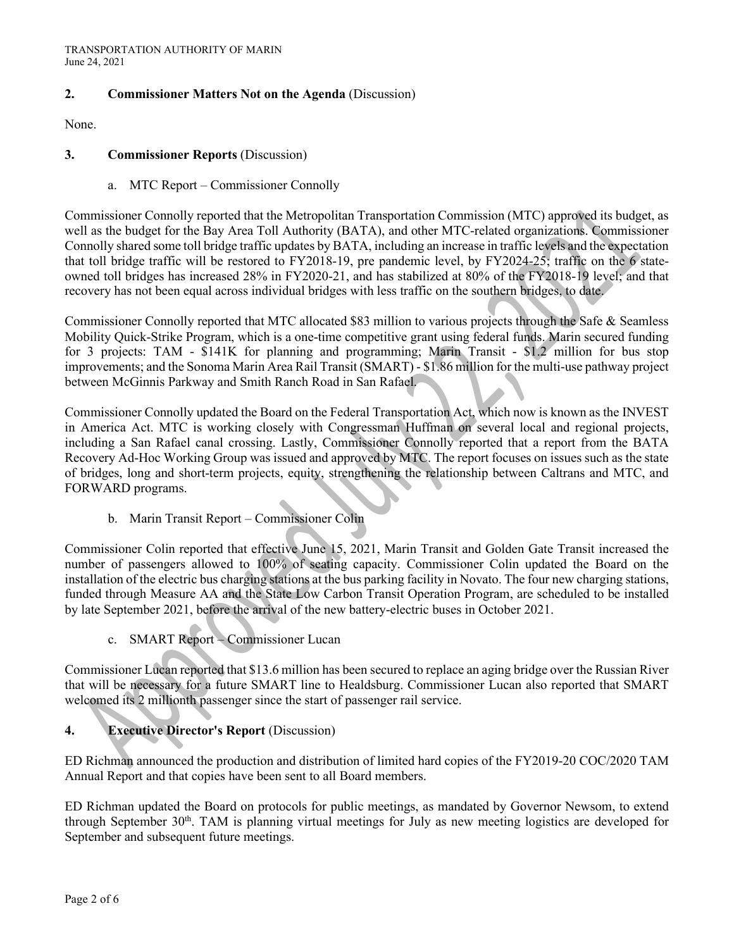### **2. Commissioner Matters Not on the Agenda** (Discussion)

None.

#### **3. Commissioner Reports** (Discussion)

a. MTC Report – Commissioner Connolly

Commissioner Connolly reported that the Metropolitan Transportation Commission (MTC) approved its budget, as well as the budget for the Bay Area Toll Authority (BATA), and other MTC-related organizations. Commissioner Connolly shared some toll bridge traffic updates by BATA, including an increase in traffic levels and the expectation that toll bridge traffic will be restored to FY2018-19, pre pandemic level, by FY2024-25; traffic on the 6 stateowned toll bridges has increased 28% in FY2020-21, and has stabilized at 80% of the FY2018-19 level; and that recovery has not been equal across individual bridges with less traffic on the southern bridges, to date.

Commissioner Connolly reported that MTC allocated \$83 million to various projects through the Safe & Seamless Mobility Quick-Strike Program, which is a one-time competitive grant using federal funds. Marin secured funding for 3 projects: TAM - \$141K for planning and programming; Marin Transit - \$1.2 million for bus stop improvements; and the Sonoma Marin Area Rail Transit (SMART) - \$1.86 million for the multi-use pathway project between McGinnis Parkway and Smith Ranch Road in San Rafael.

Commissioner Connolly updated the Board on the Federal Transportation Act, which now is known as the INVEST in America Act. MTC is working closely with Congressman Huffman on several local and regional projects, including a San Rafael canal crossing. Lastly, Commissioner Connolly reported that a report from the BATA Recovery Ad-Hoc Working Group was issued and approved by MTC. The report focuses on issues such as the state of bridges, long and short-term projects, equity, strengthening the relationship between Caltrans and MTC, and FORWARD programs.

b. Marin Transit Report – Commissioner Colin

Commissioner Colin reported that effective June 15, 2021, Marin Transit and Golden Gate Transit increased the number of passengers allowed to 100% of seating capacity. Commissioner Colin updated the Board on the installation of the electric bus charging stations at the bus parking facility in Novato. The four new charging stations, funded through Measure AA and the State Low Carbon Transit Operation Program, are scheduled to be installed by late September 2021, before the arrival of the new battery-electric buses in October 2021.

c. SMART Report – Commissioner Lucan

Commissioner Lucan reported that \$13.6 million has been secured to replace an aging bridge over the Russian River that will be necessary for a future SMART line to Healdsburg. Commissioner Lucan also reported that SMART welcomed its 2 millionth passenger since the start of passenger rail service.

### **4. Executive Director's Report** (Discussion)

ED Richman announced the production and distribution of limited hard copies of the FY2019-20 COC/2020 TAM Annual Report and that copies have been sent to all Board members.

ED Richman updated the Board on protocols for public meetings, as mandated by Governor Newsom, to extend through September  $30<sup>th</sup>$ . TAM is planning virtual meetings for July as new meeting logistics are developed for September and subsequent future meetings.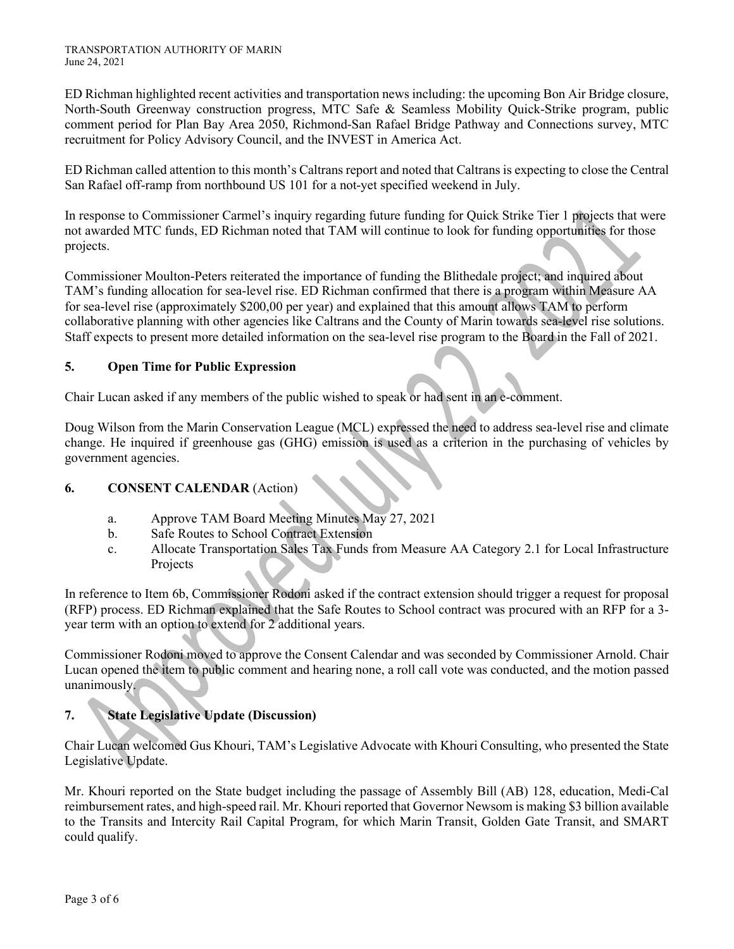ED Richman highlighted recent activities and transportation news including: the upcoming Bon Air Bridge closure, North-South Greenway construction progress, MTC Safe & Seamless Mobility Quick-Strike program, public comment period for Plan Bay Area 2050, Richmond-San Rafael Bridge Pathway and Connections survey, MTC recruitment for Policy Advisory Council, and the INVEST in America Act.

ED Richman called attention to this month's Caltrans report and noted that Caltrans is expecting to close the Central San Rafael off-ramp from northbound US 101 for a not-yet specified weekend in July.

In response to Commissioner Carmel's inquiry regarding future funding for Quick Strike Tier 1 projects that were not awarded MTC funds, ED Richman noted that TAM will continue to look for funding opportunities for those projects.

Commissioner Moulton-Peters reiterated the importance of funding the Blithedale project; and inquired about TAM's funding allocation for sea-level rise. ED Richman confirmed that there is a program within Measure AA for sea-level rise (approximately \$200,00 per year) and explained that this amount allows TAM to perform collaborative planning with other agencies like Caltrans and the County of Marin towards sea-level rise solutions. Staff expects to present more detailed information on the sea-level rise program to the Board in the Fall of 2021.

# **5. Open Time for Public Expression**

Chair Lucan asked if any members of the public wished to speak or had sent in an e-comment.

Doug Wilson from the Marin Conservation League (MCL) expressed the need to address sea-level rise and climate change. He inquired if greenhouse gas (GHG) emission is used as a criterion in the purchasing of vehicles by government agencies.

# **6. CONSENT CALENDAR** (Action)

- a. Approve TAM Board Meeting Minutes May 27, 2021
- b. Safe Routes to School Contract Extension
- c. Allocate Transportation Sales Tax Funds from Measure AA Category 2.1 for Local Infrastructure Projects

In reference to Item 6b, Commissioner Rodoni asked if the contract extension should trigger a request for proposal (RFP) process. ED Richman explained that the Safe Routes to School contract was procured with an RFP for a 3 year term with an option to extend for 2 additional years.

Commissioner Rodoni moved to approve the Consent Calendar and was seconded by Commissioner Arnold. Chair Lucan opened the item to public comment and hearing none, a roll call vote was conducted, and the motion passed unanimously.

# **7. State Legislative Update (Discussion)**

Chair Lucan welcomed Gus Khouri, TAM's Legislative Advocate with Khouri Consulting, who presented the State Legislative Update.

Mr. Khouri reported on the State budget including the passage of Assembly Bill (AB) 128, education, Medi-Cal reimbursement rates, and high-speed rail. Mr. Khouri reported that Governor Newsom is making \$3 billion available to the Transits and Intercity Rail Capital Program, for which Marin Transit, Golden Gate Transit, and SMART could qualify.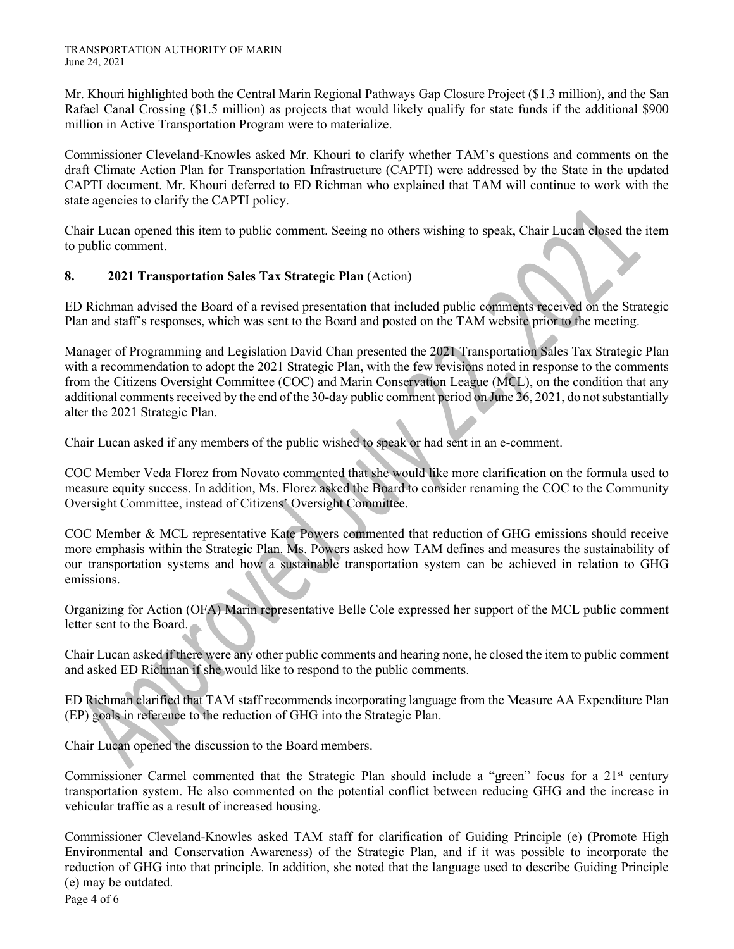Mr. Khouri highlighted both the Central Marin Regional Pathways Gap Closure Project (\$1.3 million), and the San Rafael Canal Crossing (\$1.5 million) as projects that would likely qualify for state funds if the additional \$900 million in Active Transportation Program were to materialize.

Commissioner Cleveland-Knowles asked Mr. Khouri to clarify whether TAM's questions and comments on the draft Climate Action Plan for Transportation Infrastructure (CAPTI) were addressed by the State in the updated CAPTI document. Mr. Khouri deferred to ED Richman who explained that TAM will continue to work with the state agencies to clarify the CAPTI policy.

Chair Lucan opened this item to public comment. Seeing no others wishing to speak, Chair Lucan closed the item to public comment.

## **8. 2021 Transportation Sales Tax Strategic Plan** (Action)

ED Richman advised the Board of a revised presentation that included public comments received on the Strategic Plan and staff's responses, which was sent to the Board and posted on the TAM website prior to the meeting.

Manager of Programming and Legislation David Chan presented the 2021 Transportation Sales Tax Strategic Plan with a recommendation to adopt the 2021 Strategic Plan, with the few revisions noted in response to the comments from the Citizens Oversight Committee (COC) and Marin Conservation League (MCL), on the condition that any additional comments received by the end of the 30-day public comment period on June 26, 2021, do not substantially alter the 2021 Strategic Plan.

Chair Lucan asked if any members of the public wished to speak or had sent in an e-comment.

COC Member Veda Florez from Novato commented that she would like more clarification on the formula used to measure equity success. In addition, Ms. Florez asked the Board to consider renaming the COC to the Community Oversight Committee, instead of Citizens' Oversight Committee.

COC Member & MCL representative Kate Powers commented that reduction of GHG emissions should receive more emphasis within the Strategic Plan. Ms. Powers asked how TAM defines and measures the sustainability of our transportation systems and how a sustainable transportation system can be achieved in relation to GHG emissions.

Organizing for Action (OFA) Marin representative Belle Cole expressed her support of the MCL public comment letter sent to the Board.

Chair Lucan asked if there were any other public comments and hearing none, he closed the item to public comment and asked ED Richman if she would like to respond to the public comments.

ED Richman clarified that TAM staff recommends incorporating language from the Measure AA Expenditure Plan (EP) goals in reference to the reduction of GHG into the Strategic Plan.

Chair Lucan opened the discussion to the Board members.

Commissioner Carmel commented that the Strategic Plan should include a "green" focus for a 21<sup>st</sup> century transportation system. He also commented on the potential conflict between reducing GHG and the increase in vehicular traffic as a result of increased housing.

Commissioner Cleveland-Knowles asked TAM staff for clarification of Guiding Principle (e) (Promote High Environmental and Conservation Awareness) of the Strategic Plan, and if it was possible to incorporate the reduction of GHG into that principle. In addition, she noted that the language used to describe Guiding Principle (e) may be outdated.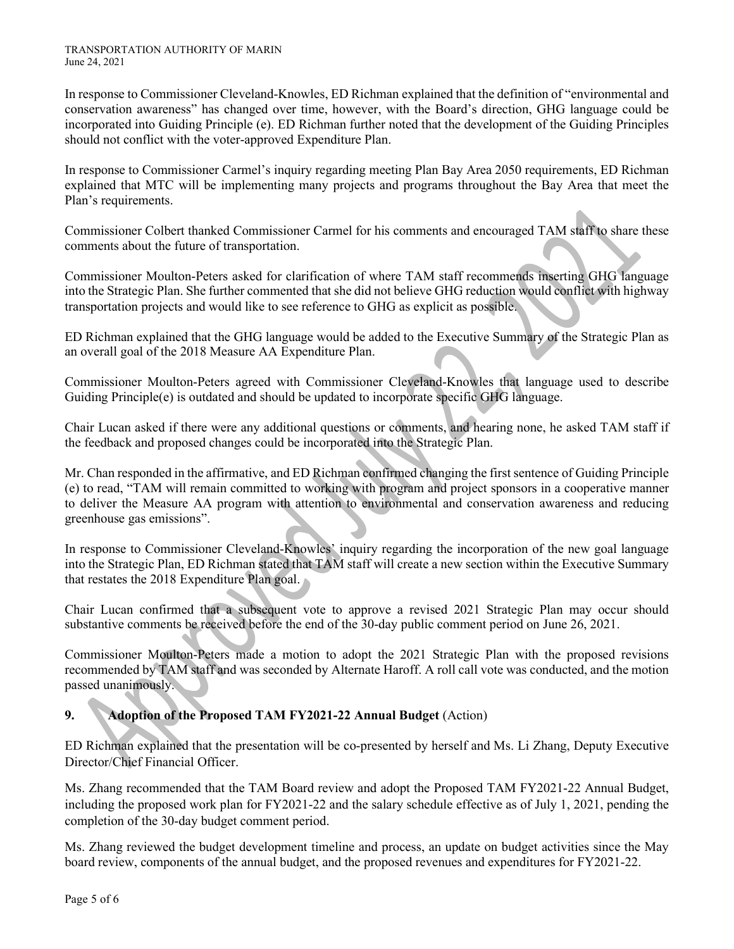In response to Commissioner Cleveland-Knowles, ED Richman explained that the definition of "environmental and conservation awareness" has changed over time, however, with the Board's direction, GHG language could be incorporated into Guiding Principle (e). ED Richman further noted that the development of the Guiding Principles should not conflict with the voter-approved Expenditure Plan.

In response to Commissioner Carmel's inquiry regarding meeting Plan Bay Area 2050 requirements, ED Richman explained that MTC will be implementing many projects and programs throughout the Bay Area that meet the Plan's requirements.

Commissioner Colbert thanked Commissioner Carmel for his comments and encouraged TAM staff to share these comments about the future of transportation.

Commissioner Moulton-Peters asked for clarification of where TAM staff recommends inserting GHG language into the Strategic Plan. She further commented that she did not believe GHG reduction would conflict with highway transportation projects and would like to see reference to GHG as explicit as possible.

ED Richman explained that the GHG language would be added to the Executive Summary of the Strategic Plan as an overall goal of the 2018 Measure AA Expenditure Plan.

Commissioner Moulton-Peters agreed with Commissioner Cleveland-Knowles that language used to describe Guiding Principle(e) is outdated and should be updated to incorporate specific GHG language.

Chair Lucan asked if there were any additional questions or comments, and hearing none, he asked TAM staff if the feedback and proposed changes could be incorporated into the Strategic Plan.

Mr. Chan responded in the affirmative, and ED Richman confirmed changing the first sentence of Guiding Principle (e) to read, "TAM will remain committed to working with program and project sponsors in a cooperative manner to deliver the Measure AA program with attention to environmental and conservation awareness and reducing greenhouse gas emissions".

In response to Commissioner Cleveland-Knowles' inquiry regarding the incorporation of the new goal language into the Strategic Plan, ED Richman stated that TAM staff will create a new section within the Executive Summary that restates the 2018 Expenditure Plan goal.

Chair Lucan confirmed that a subsequent vote to approve a revised 2021 Strategic Plan may occur should substantive comments be received before the end of the 30-day public comment period on June 26, 2021.

Commissioner Moulton-Peters made a motion to adopt the 2021 Strategic Plan with the proposed revisions recommended by TAM staff and was seconded by Alternate Haroff. A roll call vote was conducted, and the motion passed unanimously.

# **9. Adoption of the Proposed TAM FY2021-22 Annual Budget** (Action)

ED Richman explained that the presentation will be co-presented by herself and Ms. Li Zhang, Deputy Executive Director/Chief Financial Officer.

Ms. Zhang recommended that the TAM Board review and adopt the Proposed TAM FY2021-22 Annual Budget, including the proposed work plan for FY2021-22 and the salary schedule effective as of July 1, 2021, pending the completion of the 30-day budget comment period.

Ms. Zhang reviewed the budget development timeline and process, an update on budget activities since the May board review, components of the annual budget, and the proposed revenues and expenditures for FY2021-22.